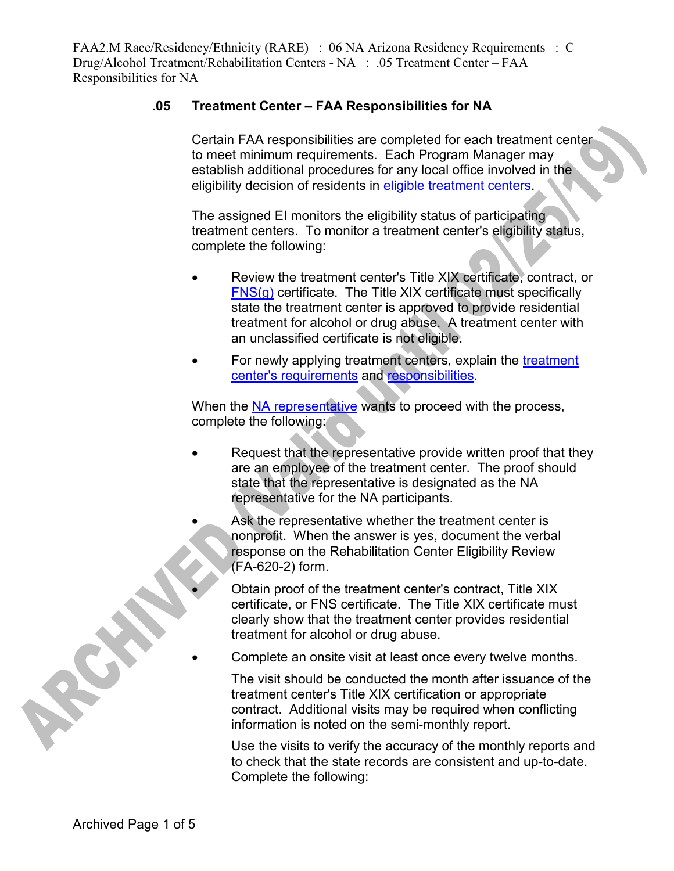## **.05 Treatment Center – FAA Responsibilities for NA**

Certain FAA responsibilities are completed for each treatment center to meet minimum requirements. Each Program Manager may establish additional procedures for any local office involved in the eligibility decision of residents in eligible treatment centers.

The assigned EI monitors the eligibility status of participating treatment centers. To monitor a treatment center's eligibility status, complete the following:

- Review the treatment center's Title XIX certificate, contract, or FNS(g) certificate. The Title XIX certificate must specifically state the treatment center is approved to provide residential treatment for alcohol or drug abuse. A treatment center with an unclassified certificate is not eligible.
- For newly applying treatment centers, explain the treatment center's requirements and responsibilities.

When the NA representative wants to proceed with the process, complete the following:

- Request that the representative provide written proof that they are an employee of the treatment center. The proof should state that the representative is designated as the NA representative for the NA participants.
	- Ask the representative whether the treatment center is nonprofit. When the answer is yes, document the verbal response on the Rehabilitation Center Eligibility Review (FA-620-2) form.
		- Obtain proof of the treatment center's contract, Title XIX certificate, or FNS certificate. The Title XIX certificate must clearly show that the treatment center provides residential treatment for alcohol or drug abuse.
	- Complete an onsite visit at least once every twelve months.

The visit should be conducted the month after issuance of the treatment center's Title XIX certification or appropriate contract. Additional visits may be required when conflicting information is noted on the semi-monthly report.

Use the visits to verify the accuracy of the monthly reports and to check that the state records are consistent and up-to-date. Complete the following:

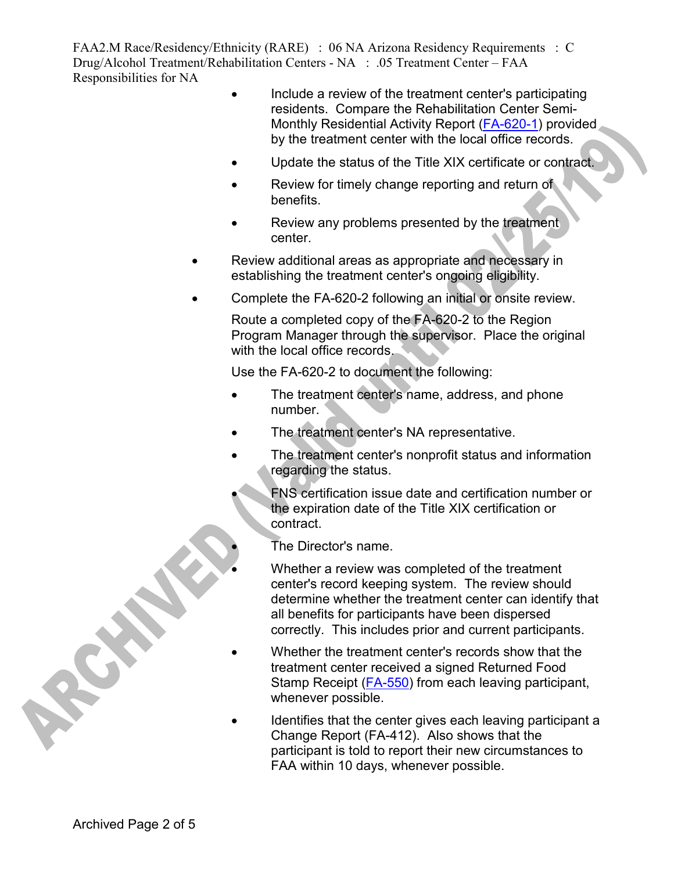- Include a review of the treatment center's participating residents. Compare the Rehabilitation Center Semi-Monthly Residential Activity Report (FA-620-1) provided by the treatment center with the local office records.
- Update the status of the Title XIX certificate or contract.
- Review for timely change reporting and return of benefits.
- Review any problems presented by the treatment center.
- Review additional areas as appropriate and necessary in establishing the treatment center's ongoing eligibility.
- Complete the FA-620-2 following an initial or onsite review.

Route a completed copy of the FA-620-2 to the Region Program Manager through the supervisor. Place the original with the local office records.

Use the FA-620-2 to document the following:

- The treatment center's name, address, and phone number.
- The treatment center's NA representative.
- The treatment center's nonprofit status and information regarding the status.
	- FNS certification issue date and certification number or the expiration date of the Title XIX certification or contract.
		- The Director's name.
	- Whether a review was completed of the treatment center's record keeping system. The review should determine whether the treatment center can identify that all benefits for participants have been dispersed correctly. This includes prior and current participants.
- Whether the treatment center's records show that the treatment center received a signed Returned Food Stamp Receipt (FA-550) from each leaving participant, whenever possible.
- Identifies that the center gives each leaving participant a Change Report (FA-412). Also shows that the participant is told to report their new circumstances to FAA within 10 days, whenever possible.

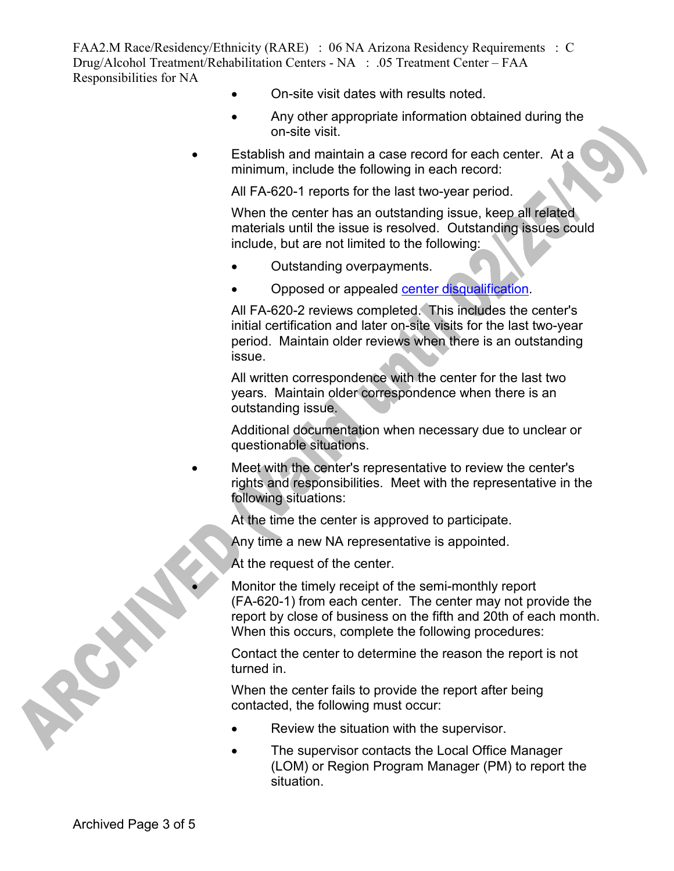- On-site visit dates with results noted.
- Any other appropriate information obtained during the on-site visit.
- Establish and maintain a case record for each center. At a minimum, include the following in each record:

All FA-620-1 reports for the last two-year period.

When the center has an outstanding issue, keep all related materials until the issue is resolved. Outstanding issues could include, but are not limited to the following:

- Outstanding overpayments.
- Opposed or appealed center disqualification.

All FA-620-2 reviews completed. This includes the center's initial certification and later on-site visits for the last two-year period. Maintain older reviews when there is an outstanding issue.

All written correspondence with the center for the last two years. Maintain older correspondence when there is an outstanding issue.

Additional documentation when necessary due to unclear or questionable situations.

• Meet with the center's representative to review the center's rights and responsibilities. Meet with the representative in the following situations:

At the time the center is approved to participate.

Any time a new NA representative is appointed.

At the request of the center.

• Monitor the timely receipt of the semi-monthly report (FA-620-1) from each center. The center may not provide the report by close of business on the fifth and 20th of each month. When this occurs, complete the following procedures:

Contact the center to determine the reason the report is not turned in.

When the center fails to provide the report after being contacted, the following must occur:

- Review the situation with the supervisor.
- The supervisor contacts the Local Office Manager (LOM) or Region Program Manager (PM) to report the situation.

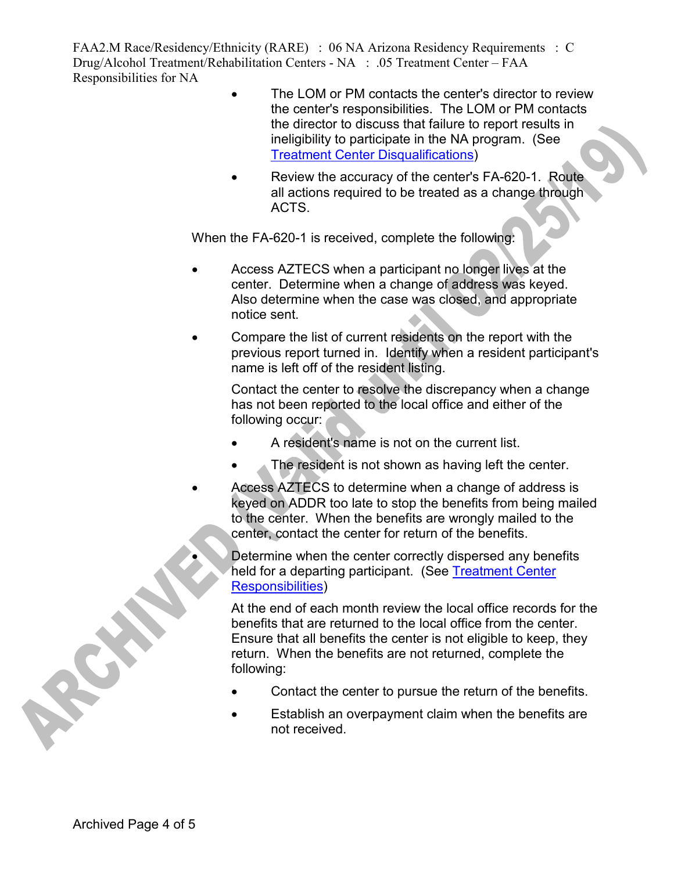- The LOM or PM contacts the center's director to review the center's responsibilities. The LOM or PM contacts the director to discuss that failure to report results in ineligibility to participate in the NA program. (See Treatment Center Disqualifications)
- Review the accuracy of the center's FA-620-1. Route all actions required to be treated as a change through ACTS.

When the FA-620-1 is received, complete the following:

- Access AZTECS when a participant no longer lives at the center. Determine when a change of address was keyed. Also determine when the case was closed, and appropriate notice sent.
- Compare the list of current residents on the report with the previous report turned in. Identify when a resident participant's name is left off of the resident listing.

Contact the center to resolve the discrepancy when a change has not been reported to the local office and either of the following occur:

- A resident's name is not on the current list.
- The resident is not shown as having left the center.
- Access AZTECS to determine when a change of address is keyed on ADDR too late to stop the benefits from being mailed to the center. When the benefits are wrongly mailed to the center, contact the center for return of the benefits.

Determine when the center correctly dispersed any benefits held for a departing participant. (See Treatment Center Responsibilities)

At the end of each month review the local office records for the benefits that are returned to the local office from the center. Ensure that all benefits the center is not eligible to keep, they return. When the benefits are not returned, complete the following:

- Contact the center to pursue the return of the benefits.
- Establish an overpayment claim when the benefits are not received.